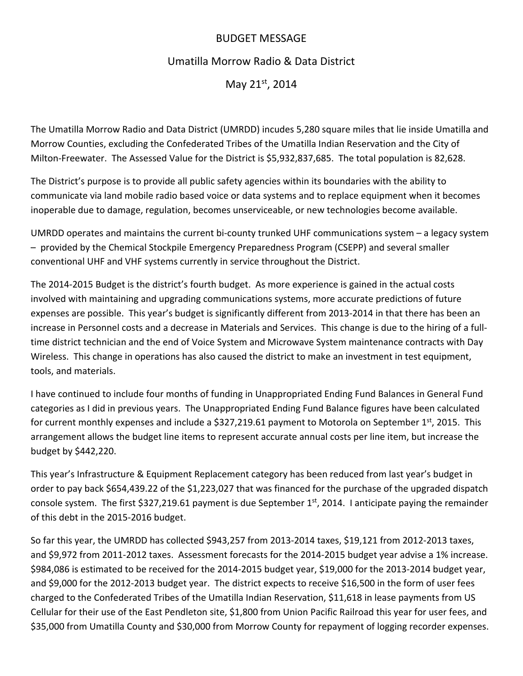## BUDGET MESSAGE

## Umatilla Morrow Radio & Data District

May 21st, 2014

The Umatilla Morrow Radio and Data District (UMRDD) incudes 5,280 square miles that lie inside Umatilla and Morrow Counties, excluding the Confederated Tribes of the Umatilla Indian Reservation and the City of Milton‐Freewater. The Assessed Value for the District is \$5,932,837,685. The total population is 82,628.

The District's purpose is to provide all public safety agencies within its boundaries with the ability to communicate via land mobile radio based voice or data systems and to replace equipment when it becomes inoperable due to damage, regulation, becomes unserviceable, or new technologies become available.

UMRDD operates and maintains the current bi‐county trunked UHF communications system – a legacy system – provided by the Chemical Stockpile Emergency Preparedness Program (CSEPP) and several smaller conventional UHF and VHF systems currently in service throughout the District.

The 2014‐2015 Budget is the district's fourth budget. As more experience is gained in the actual costs involved with maintaining and upgrading communications systems, more accurate predictions of future expenses are possible. This year's budget is significantly different from 2013‐2014 in that there has been an increase in Personnel costs and a decrease in Materials and Services. This change is due to the hiring of a full‐ time district technician and the end of Voice System and Microwave System maintenance contracts with Day Wireless. This change in operations has also caused the district to make an investment in test equipment, tools, and materials.

I have continued to include four months of funding in Unappropriated Ending Fund Balances in General Fund categories as I did in previous years. The Unappropriated Ending Fund Balance figures have been calculated for current monthly expenses and include a \$327,219.61 payment to Motorola on September 1st, 2015. This arrangement allows the budget line items to represent accurate annual costs per line item, but increase the budget by \$442,220.

This year's Infrastructure & Equipment Replacement category has been reduced from last year's budget in order to pay back \$654,439.22 of the \$1,223,027 that was financed for the purchase of the upgraded dispatch console system. The first \$327,219.61 payment is due September  $1<sup>st</sup>$ , 2014. I anticipate paying the remainder of this debt in the 2015‐2016 budget.

So far this year, the UMRDD has collected \$943,257 from 2013‐2014 taxes, \$19,121 from 2012‐2013 taxes, and \$9,972 from 2011‐2012 taxes. Assessment forecasts for the 2014‐2015 budget year advise a 1% increase. \$984,086 is estimated to be received for the 2014‐2015 budget year, \$19,000 for the 2013‐2014 budget year, and \$9,000 for the 2012‐2013 budget year. The district expects to receive \$16,500 in the form of user fees charged to the Confederated Tribes of the Umatilla Indian Reservation, \$11,618 in lease payments from US Cellular for their use of the East Pendleton site, \$1,800 from Union Pacific Railroad this year for user fees, and \$35,000 from Umatilla County and \$30,000 from Morrow County for repayment of logging recorder expenses.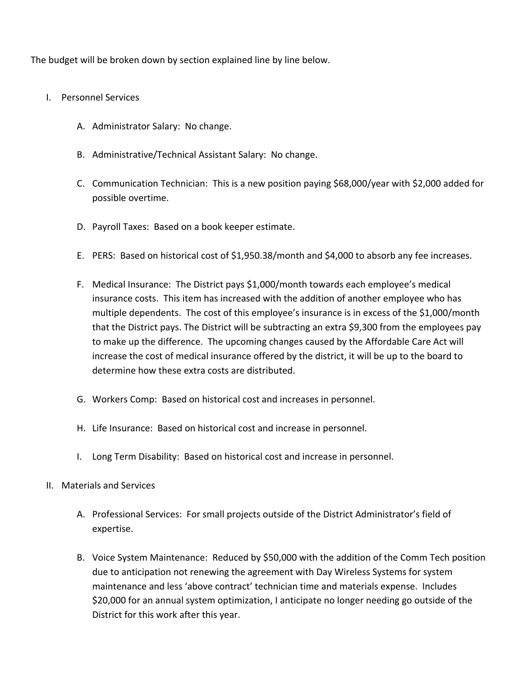The budget will be broken down by section explained line by line below.

- I. Personnel Services
	- A. Administrator Salary: No change.
	- B. Administrative/Technical Assistant Salary: No change.
	- C. Communication Technician: This is a new position paying \$68,000/year with \$2,000 added for possible overtime.
	- D. Payroll Taxes: Based on a book keeper estimate.
	- E. PERS: Based on historical cost of \$1,950.38/month and \$4,000 to absorb any fee increases.
	- F. Medical Insurance: The District pays \$1,000/month towards each employee's medical insurance costs. This item has increased with the addition of another employee who has multiple dependents. The cost of this employee's insurance is in excess of the \$1,000/month that the District pays. The District will be subtracting an extra \$9,300 from the employees pay to make up the difference. The upcoming changes caused by the Affordable Care Act will increase the cost of medical insurance offered by the district, it will be up to the board to determine how these extra costs are distributed.
	- G. Workers Comp: Based on historical cost and increases in personnel.
	- H. Life Insurance: Based on historical cost and increase in personnel.
	- I. Long Term Disability: Based on historical cost and increase in personnel.
- II. Materials and Services
	- A. Professional Services: For small projects outside of the District Administrator's field of expertise.
	- B. Voice System Maintenance: Reduced by \$50,000 with the addition of the Comm Tech position due to anticipation not renewing the agreement with Day Wireless Systems for system maintenance and less 'above contract' technician time and materials expense. Includes \$20,000 for an annual system optimization, I anticipate no longer needing go outside of the District for this work after this year.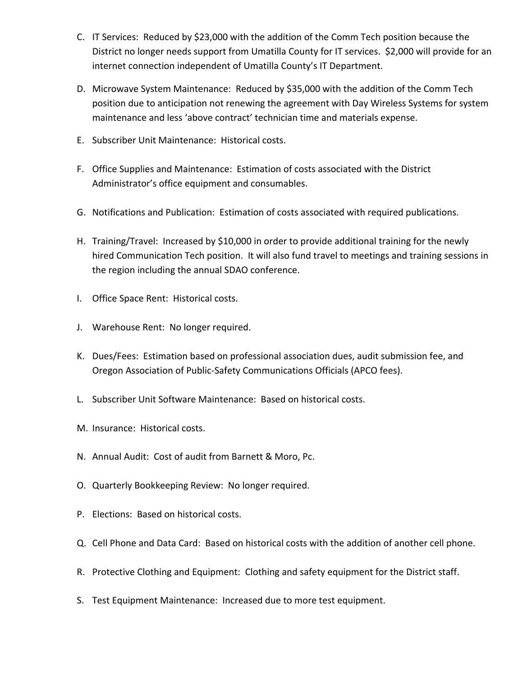- C. IT Services: Reduced by \$23,000 with the addition of the Comm Tech position because the District no longer needs support from Umatilla County for IT services. \$2,000 will provide for an internet connection independent of Umatilla County's IT Department.
- D. Microwave System Maintenance: Reduced by \$35,000 with the addition of the Comm Tech position due to anticipation not renewing the agreement with Day Wireless Systems for system maintenance and less 'above contract' technician time and materials expense.
- E. Subscriber Unit Maintenance: Historical costs.
- F. Office Supplies and Maintenance: Estimation of costs associated with the District Administrator's office equipment and consumables.
- G. Notifications and Publication: Estimation of costs associated with required publications.
- H. Training/Travel: Increased by \$10,000 in order to provide additional training for the newly hired Communication Tech position. It will also fund travel to meetings and training sessions in the region including the annual SDAO conference.
- I. Office Space Rent: Historical costs.
- J. Warehouse Rent: No longer required.
- K. Dues/Fees: Estimation based on professional association dues, audit submission fee, and Oregon Association of Public‐Safety Communications Officials (APCO fees).
- L. Subscriber Unit Software Maintenance: Based on historical costs.
- M. Insurance: Historical costs.
- N. Annual Audit: Cost of audit from Barnett & Moro, Pc.
- O. Quarterly Bookkeeping Review: No longer required.
- P. Elections: Based on historical costs.
- Q. Cell Phone and Data Card: Based on historical costs with the addition of another cell phone.
- R. Protective Clothing and Equipment: Clothing and safety equipment for the District staff.
- S. Test Equipment Maintenance: Increased due to more test equipment.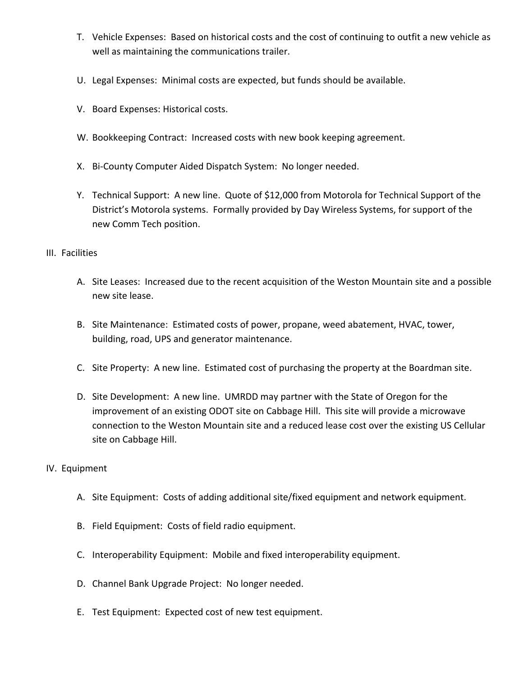- T. Vehicle Expenses: Based on historical costs and the cost of continuing to outfit a new vehicle as well as maintaining the communications trailer.
- U. Legal Expenses: Minimal costs are expected, but funds should be available.
- V. Board Expenses: Historical costs.
- W. Bookkeeping Contract: Increased costs with new book keeping agreement.
- X. Bi‐County Computer Aided Dispatch System: No longer needed.
- Y. Technical Support: A new line. Quote of \$12,000 from Motorola for Technical Support of the District's Motorola systems. Formally provided by Day Wireless Systems, for support of the new Comm Tech position.

## III. Facilities

- A. Site Leases: Increased due to the recent acquisition of the Weston Mountain site and a possible new site lease.
- B. Site Maintenance: Estimated costs of power, propane, weed abatement, HVAC, tower, building, road, UPS and generator maintenance.
- C. Site Property: A new line. Estimated cost of purchasing the property at the Boardman site.
- D. Site Development: A new line. UMRDD may partner with the State of Oregon for the improvement of an existing ODOT site on Cabbage Hill. This site will provide a microwave connection to the Weston Mountain site and a reduced lease cost over the existing US Cellular site on Cabbage Hill.

## IV. Equipment

- A. Site Equipment: Costs of adding additional site/fixed equipment and network equipment.
- B. Field Equipment: Costs of field radio equipment.
- C. Interoperability Equipment: Mobile and fixed interoperability equipment.
- D. Channel Bank Upgrade Project: No longer needed.
- E. Test Equipment: Expected cost of new test equipment.